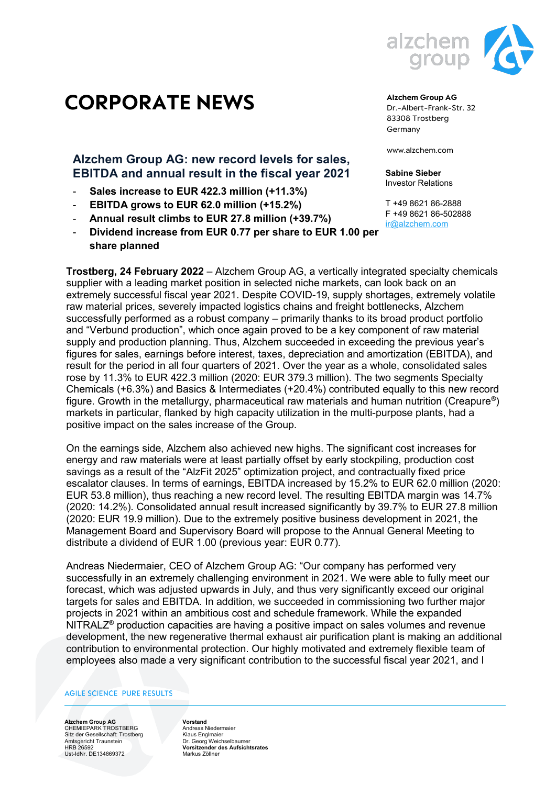

## **Alzchem Group AG: new record levels for sales, EBITDA and annual result in the fiscal year 2021**

- **Sales increase to EUR 422.3 million (+11.3%)**
- **EBITDA grows to EUR 62.0 million (+15.2%)**
- **Annual result climbs to EUR 27.8 million (+39.7%)**
- **Dividend increase from EUR 0.77 per share to EUR 1.00 per share planned**



**Alzchem Group AG** Dr.-Albert-Frank-Str. 32 83308 Trostberg Germany

www.alzchem.com

**Sabine Sieber** Investor Relations

T +49 8621 86-2888 F +49 8621 86-502888 [ir@alzchem.com](mailto:ir@alzchem.com)

**Trostberg, 24 February 2022** – Alzchem Group AG, a vertically integrated specialty chemicals supplier with a leading market position in selected niche markets, can look back on an extremely successful fiscal year 2021. Despite COVID-19, supply shortages, extremely volatile raw material prices, severely impacted logistics chains and freight bottlenecks, Alzchem successfully performed as a robust company – primarily thanks to its broad product portfolio and "Verbund production", which once again proved to be a key component of raw material supply and production planning. Thus, Alzchem succeeded in exceeding the previous year's figures for sales, earnings before interest, taxes, depreciation and amortization (EBITDA), and result for the period in all four quarters of 2021. Over the year as a whole, consolidated sales rose by 11.3% to EUR 422.3 million (2020: EUR 379.3 million). The two segments Specialty Chemicals (+6.3%) and Basics & Intermediates (+20.4%) contributed equally to this new record figure. Growth in the metallurgy, pharmaceutical raw materials and human nutrition (Creapure®) markets in particular, flanked by high capacity utilization in the multi-purpose plants, had a positive impact on the sales increase of the Group.

On the earnings side, Alzchem also achieved new highs. The significant cost increases for energy and raw materials were at least partially offset by early stockpiling, production cost savings as a result of the "AlzFit 2025" optimization project, and contractually fixed price escalator clauses. In terms of earnings, EBITDA increased by 15.2% to EUR 62.0 million (2020: EUR 53.8 million), thus reaching a new record level. The resulting EBITDA margin was 14.7% (2020: 14.2%). Consolidated annual result increased significantly by 39.7% to EUR 27.8 million (2020: EUR 19.9 million). Due to the extremely positive business development in 2021, the Management Board and Supervisory Board will propose to the Annual General Meeting to distribute a dividend of EUR 1.00 (previous year: EUR 0.77).

Andreas Niedermaier, CEO of Alzchem Group AG: "Our company has performed very successfully in an extremely challenging environment in 2021. We were able to fully meet our forecast, which was adjusted upwards in July, and thus very significantly exceed our original targets for sales and EBITDA. In addition, we succeeded in commissioning two further major projects in 2021 within an ambitious cost and schedule framework. While the expanded  $NITRALZ<sup>®</sup>$  production capacities are having a positive impact on sales volumes and revenue development, the new regenerative thermal exhaust air purification plant is making an additional contribution to environmental protection. Our highly motivated and extremely flexible team of employees also made a very significant contribution to the successful fiscal year 2021, and I

## **AGILE SCIENCE PURE RESULTS**

**Alzchem Group AG** CHEMIEPARK TROSTBERG Sitz der Gesellschaft: Trostberg Amtsgericht Traunstein HRB 26592 Ust-IdNr. DE134869372

**Vorstand** Andreas Niedermaier Klaus Englmaier Dr. Georg Weichselbaumer **Vorsitzender des Aufsichtsrates** Markus Zöllner